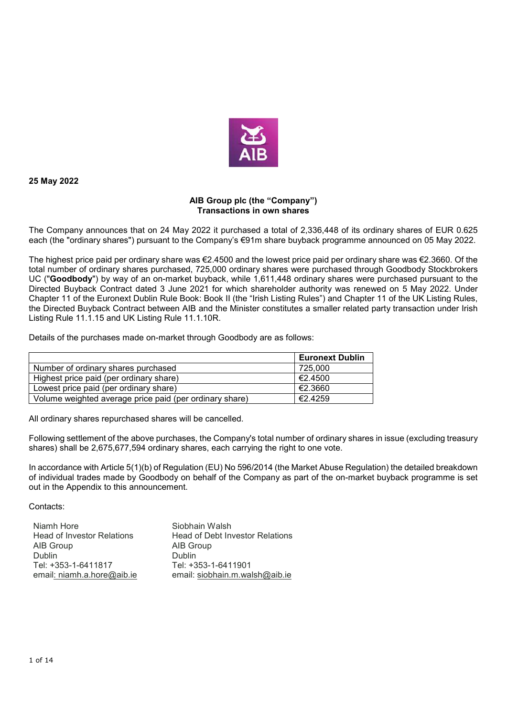

**25 May 2022** 

## **AIB Group plc (the "Company") Transactions in own shares**

The Company announces that on 24 May 2022 it purchased a total of 2,336,448 of its ordinary shares of EUR 0.625 each (the "ordinary shares") pursuant to the Company's €91m share buyback programme announced on 05 May 2022.

The highest price paid per ordinary share was €2.4500 and the lowest price paid per ordinary share was €2.3660. Of the total number of ordinary shares purchased, 725,000 ordinary shares were purchased through Goodbody Stockbrokers UC ("**Goodbody**") by way of an on-market buyback, while 1,611,448 ordinary shares were purchased pursuant to the Directed Buyback Contract dated 3 June 2021 for which shareholder authority was renewed on 5 May 2022. Under Chapter 11 of the Euronext Dublin Rule Book: Book II (the "Irish Listing Rules") and Chapter 11 of the UK Listing Rules, the Directed Buyback Contract between AIB and the Minister constitutes a smaller related party transaction under Irish Listing Rule 11.1.15 and UK Listing Rule 11.1.10R.

Details of the purchases made on-market through Goodbody are as follows:

|                                                         | <b>Euronext Dublin</b> |
|---------------------------------------------------------|------------------------|
| Number of ordinary shares purchased                     | 725.000                |
| Highest price paid (per ordinary share)                 | €2.4500                |
| Lowest price paid (per ordinary share)                  | €2.3660                |
| Volume weighted average price paid (per ordinary share) | €2.4259                |

All ordinary shares repurchased shares will be cancelled.

Following settlement of the above purchases, the Company's total number of ordinary shares in issue (excluding treasury shares) shall be 2,675,677,594 ordinary shares, each carrying the right to one vote.

In accordance with Article 5(1)(b) of Regulation (EU) No 596/2014 (the Market Abuse Regulation) the detailed breakdown of individual trades made by Goodbody on behalf of the Company as part of the on-market buyback programme is set out in the Appendix to this announcement.

Contacts:

| Niamh Hore                        | Siobhain Walsh                  |
|-----------------------------------|---------------------------------|
| <b>Head of Investor Relations</b> | Head of Debt Investor Relations |
| AIB Group                         | AIB Group                       |
| Dublin                            | <b>Dublin</b>                   |
| Tel: +353-1-6411817               | Tel: +353-1-6411901             |
| email: niamh.a.hore@aib.ie        | email: siobhain.m.walsh@aib.ie  |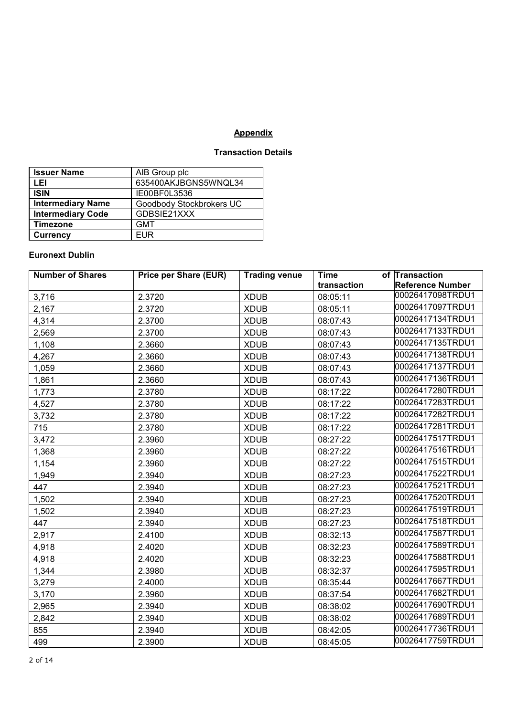## **Appendix**

## **Transaction Details**

| <b>Issuer Name</b>       | AIB Group plc            |
|--------------------------|--------------------------|
| LEI                      | 635400AKJBGNS5WNQL34     |
| <b>ISIN</b>              | IE00BF0L3536             |
| <b>Intermediary Name</b> | Goodbody Stockbrokers UC |
| <b>Intermediary Code</b> | GDBSIE21XXX              |
| <b>Timezone</b>          | <b>GMT</b>               |
| <b>Currency</b>          | <b>FUR</b>               |

## **Euronext Dublin**

| <b>Number of Shares</b> | <b>Price per Share (EUR)</b> | <b>Trading venue</b> | <b>Time</b> | of Transaction          |
|-------------------------|------------------------------|----------------------|-------------|-------------------------|
|                         |                              |                      | transaction | <b>Reference Number</b> |
| 3,716                   | 2.3720                       | <b>XDUB</b>          | 08:05:11    | 00026417098TRDU1        |
| 2,167                   | 2.3720                       | <b>XDUB</b>          | 08:05:11    | 00026417097TRDU1        |
| 4,314                   | 2.3700                       | <b>XDUB</b>          | 08:07:43    | 00026417134TRDU1        |
| 2,569                   | 2.3700                       | <b>XDUB</b>          | 08:07:43    | 00026417133TRDU1        |
| 1,108                   | 2.3660                       | <b>XDUB</b>          | 08:07:43    | 00026417135TRDU1        |
| 4,267                   | 2.3660                       | <b>XDUB</b>          | 08:07:43    | 00026417138TRDU1        |
| 1,059                   | 2.3660                       | <b>XDUB</b>          | 08:07:43    | 00026417137TRDU1        |
| 1,861                   | 2.3660                       | <b>XDUB</b>          | 08:07:43    | 00026417136TRDU1        |
| 1,773                   | 2.3780                       | <b>XDUB</b>          | 08:17:22    | 00026417280TRDU1        |
| 4,527                   | 2.3780                       | <b>XDUB</b>          | 08:17:22    | 00026417283TRDU1        |
| 3,732                   | 2.3780                       | <b>XDUB</b>          | 08:17:22    | 00026417282TRDU1        |
| 715                     | 2.3780                       | <b>XDUB</b>          | 08:17:22    | 00026417281TRDU1        |
| 3,472                   | 2.3960                       | <b>XDUB</b>          | 08:27:22    | 00026417517TRDU1        |
| 1,368                   | 2.3960                       | <b>XDUB</b>          | 08:27:22    | 00026417516TRDU1        |
| 1,154                   | 2.3960                       | <b>XDUB</b>          | 08:27:22    | 00026417515TRDU1        |
| 1,949                   | 2.3940                       | <b>XDUB</b>          | 08:27:23    | 00026417522TRDU1        |
| 447                     | 2.3940                       | <b>XDUB</b>          | 08:27:23    | 00026417521TRDU1        |
| 1,502                   | 2.3940                       | <b>XDUB</b>          | 08:27:23    | 00026417520TRDU1        |
| 1,502                   | 2.3940                       | <b>XDUB</b>          | 08:27:23    | 00026417519TRDU1        |
| 447                     | 2.3940                       | <b>XDUB</b>          | 08:27:23    | 00026417518TRDU1        |
| 2,917                   | 2.4100                       | <b>XDUB</b>          | 08:32:13    | 00026417587TRDU1        |
| 4,918                   | 2.4020                       | <b>XDUB</b>          | 08:32:23    | 00026417589TRDU1        |
| 4,918                   | 2.4020                       | <b>XDUB</b>          | 08:32:23    | 00026417588TRDU1        |
| 1,344                   | 2.3980                       | <b>XDUB</b>          | 08:32:37    | 00026417595TRDU1        |
| 3,279                   | 2.4000                       | <b>XDUB</b>          | 08:35:44    | 00026417667TRDU1        |
| 3,170                   | 2.3960                       | <b>XDUB</b>          | 08:37:54    | 00026417682TRDU1        |
| 2,965                   | 2.3940                       | <b>XDUB</b>          | 08:38:02    | 00026417690TRDU1        |
| 2,842                   | 2.3940                       | <b>XDUB</b>          | 08:38:02    | 00026417689TRDU1        |
| 855                     | 2.3940                       | <b>XDUB</b>          | 08:42:05    | 00026417736TRDU1        |
| 499                     | 2.3900                       | <b>XDUB</b>          | 08:45:05    | 00026417759TRDU1        |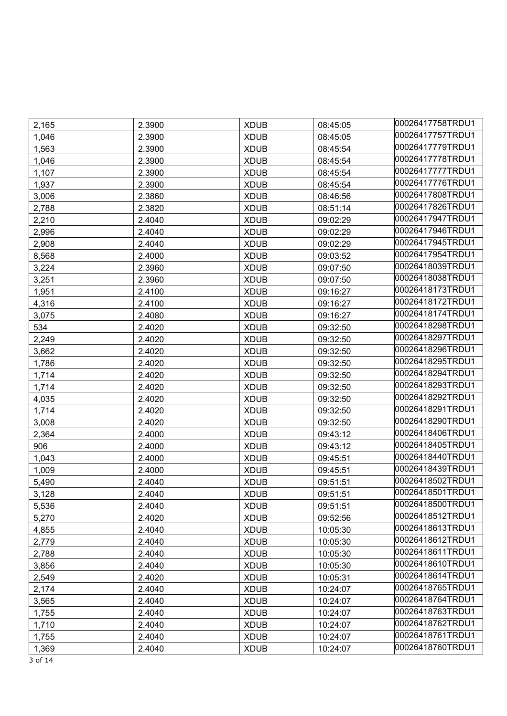| 2,165 | 2.3900 | <b>XDUB</b> | 08:45:05 | 00026417758TRDU1 |
|-------|--------|-------------|----------|------------------|
| 1,046 | 2.3900 | <b>XDUB</b> | 08:45:05 | 00026417757TRDU1 |
| 1,563 | 2.3900 | <b>XDUB</b> | 08:45:54 | 00026417779TRDU1 |
| 1,046 | 2.3900 | <b>XDUB</b> | 08:45:54 | 00026417778TRDU1 |
| 1,107 | 2.3900 | <b>XDUB</b> | 08:45:54 | 00026417777TRDU1 |
| 1,937 | 2.3900 | <b>XDUB</b> | 08:45:54 | 00026417776TRDU1 |
| 3,006 | 2.3860 | <b>XDUB</b> | 08:46:56 | 00026417808TRDU1 |
| 2,788 | 2.3820 | <b>XDUB</b> | 08:51:14 | 00026417826TRDU1 |
| 2,210 | 2.4040 | <b>XDUB</b> | 09:02:29 | 00026417947TRDU1 |
| 2,996 | 2.4040 | <b>XDUB</b> | 09:02:29 | 00026417946TRDU1 |
| 2,908 | 2.4040 | <b>XDUB</b> | 09:02:29 | 00026417945TRDU1 |
| 8,568 | 2.4000 | <b>XDUB</b> | 09:03:52 | 00026417954TRDU1 |
| 3,224 | 2.3960 | <b>XDUB</b> | 09:07:50 | 00026418039TRDU1 |
| 3,251 | 2.3960 | <b>XDUB</b> | 09:07:50 | 00026418038TRDU1 |
| 1,951 | 2.4100 | <b>XDUB</b> | 09:16:27 | 00026418173TRDU1 |
| 4,316 | 2.4100 | <b>XDUB</b> | 09:16:27 | 00026418172TRDU1 |
| 3,075 | 2.4080 | <b>XDUB</b> | 09:16:27 | 00026418174TRDU1 |
| 534   | 2.4020 | <b>XDUB</b> | 09:32:50 | 00026418298TRDU1 |
| 2,249 | 2.4020 | <b>XDUB</b> | 09:32:50 | 00026418297TRDU1 |
| 3,662 | 2.4020 | <b>XDUB</b> | 09:32:50 | 00026418296TRDU1 |
| 1,786 | 2.4020 | <b>XDUB</b> | 09:32:50 | 00026418295TRDU1 |
| 1,714 | 2.4020 | <b>XDUB</b> | 09:32:50 | 00026418294TRDU1 |
| 1,714 | 2.4020 | <b>XDUB</b> | 09:32:50 | 00026418293TRDU1 |
| 4,035 | 2.4020 | <b>XDUB</b> | 09:32:50 | 00026418292TRDU1 |
| 1,714 | 2.4020 | <b>XDUB</b> | 09:32:50 | 00026418291TRDU1 |
| 3,008 | 2.4020 | <b>XDUB</b> | 09:32:50 | 00026418290TRDU1 |
| 2,364 | 2.4000 | <b>XDUB</b> | 09:43:12 | 00026418406TRDU1 |
| 906   | 2.4000 | <b>XDUB</b> | 09:43:12 | 00026418405TRDU1 |
| 1,043 | 2.4000 | <b>XDUB</b> | 09:45:51 | 00026418440TRDU1 |
| 1,009 | 2.4000 | <b>XDUB</b> | 09:45:51 | 00026418439TRDU1 |
| 5,490 | 2.4040 | <b>XDUB</b> | 09:51:51 | 00026418502TRDU1 |
| 3,128 | 2.4040 | <b>XDUB</b> | 09:51:51 | 00026418501TRDU1 |
| 5,536 | 2.4040 | <b>XDUB</b> | 09:51:51 | 00026418500TRDU1 |
| 5,270 | 2.4020 | <b>XDUB</b> | 09:52:56 | 00026418512TRDU1 |
| 4,855 | 2.4040 | <b>XDUB</b> | 10:05:30 | 00026418613TRDU1 |
| 2,779 | 2.4040 | <b>XDUB</b> | 10:05:30 | 00026418612TRDU1 |
| 2,788 | 2.4040 | <b>XDUB</b> | 10:05:30 | 00026418611TRDU1 |
| 3,856 | 2.4040 | <b>XDUB</b> | 10:05:30 | 00026418610TRDU1 |
| 2,549 | 2.4020 | <b>XDUB</b> | 10:05:31 | 00026418614TRDU1 |
| 2,174 | 2.4040 | <b>XDUB</b> | 10:24:07 | 00026418765TRDU1 |
| 3,565 | 2.4040 | <b>XDUB</b> | 10:24:07 | 00026418764TRDU1 |
| 1,755 | 2.4040 | <b>XDUB</b> | 10:24:07 | 00026418763TRDU1 |
| 1,710 | 2.4040 | <b>XDUB</b> | 10:24:07 | 00026418762TRDU1 |
| 1,755 | 2.4040 | <b>XDUB</b> | 10:24:07 | 00026418761TRDU1 |
| 1,369 | 2.4040 | <b>XDUB</b> | 10:24:07 | 00026418760TRDU1 |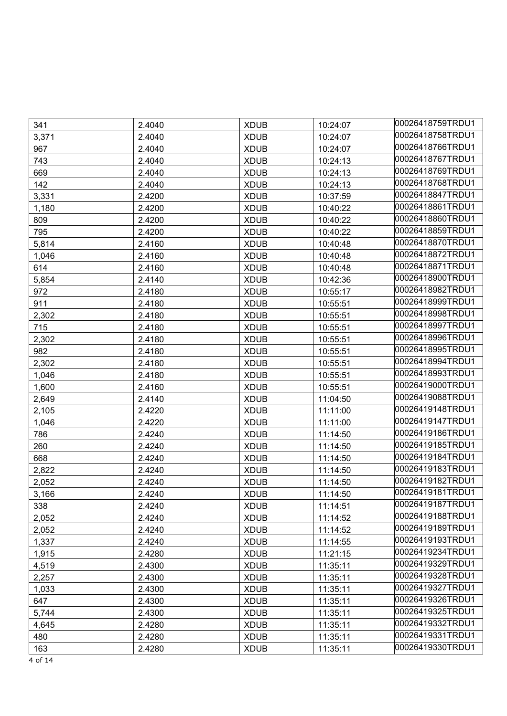| 341   | 2.4040 | <b>XDUB</b> | 10:24:07 | 00026418759TRDU1 |
|-------|--------|-------------|----------|------------------|
| 3,371 | 2.4040 | <b>XDUB</b> | 10:24:07 | 00026418758TRDU1 |
| 967   | 2.4040 | <b>XDUB</b> | 10:24:07 | 00026418766TRDU1 |
| 743   | 2.4040 | <b>XDUB</b> | 10:24:13 | 00026418767TRDU1 |
| 669   | 2.4040 | <b>XDUB</b> | 10:24:13 | 00026418769TRDU1 |
| 142   | 2.4040 | <b>XDUB</b> | 10:24:13 | 00026418768TRDU1 |
| 3,331 | 2.4200 | <b>XDUB</b> | 10:37:59 | 00026418847TRDU1 |
| 1,180 | 2.4200 | <b>XDUB</b> | 10:40:22 | 00026418861TRDU1 |
| 809   | 2.4200 | <b>XDUB</b> | 10:40:22 | 00026418860TRDU1 |
| 795   | 2.4200 | <b>XDUB</b> | 10:40:22 | 00026418859TRDU1 |
| 5,814 | 2.4160 | <b>XDUB</b> | 10:40:48 | 00026418870TRDU1 |
| 1,046 | 2.4160 | <b>XDUB</b> | 10:40:48 | 00026418872TRDU1 |
| 614   | 2.4160 | <b>XDUB</b> | 10:40:48 | 00026418871TRDU1 |
| 5,854 | 2.4140 | <b>XDUB</b> | 10:42:36 | 00026418900TRDU1 |
| 972   | 2.4180 | <b>XDUB</b> | 10:55:17 | 00026418982TRDU1 |
| 911   | 2.4180 | <b>XDUB</b> | 10:55:51 | 00026418999TRDU1 |
| 2,302 | 2.4180 | <b>XDUB</b> | 10:55:51 | 00026418998TRDU1 |
| 715   | 2.4180 | <b>XDUB</b> | 10:55:51 | 00026418997TRDU1 |
| 2,302 | 2.4180 | <b>XDUB</b> | 10:55:51 | 00026418996TRDU1 |
| 982   | 2.4180 | <b>XDUB</b> | 10:55:51 | 00026418995TRDU1 |
| 2,302 | 2.4180 | <b>XDUB</b> | 10:55:51 | 00026418994TRDU1 |
| 1,046 | 2.4180 | <b>XDUB</b> | 10:55:51 | 00026418993TRDU1 |
| 1,600 | 2.4160 | <b>XDUB</b> | 10:55:51 | 00026419000TRDU1 |
| 2,649 | 2.4140 | <b>XDUB</b> | 11:04:50 | 00026419088TRDU1 |
| 2,105 | 2.4220 | <b>XDUB</b> | 11:11:00 | 00026419148TRDU1 |
| 1,046 | 2.4220 | <b>XDUB</b> | 11:11:00 | 00026419147TRDU1 |
| 786   | 2.4240 | <b>XDUB</b> | 11:14:50 | 00026419186TRDU1 |
| 260   | 2.4240 | <b>XDUB</b> | 11:14:50 | 00026419185TRDU1 |
| 668   | 2.4240 | <b>XDUB</b> | 11:14:50 | 00026419184TRDU1 |
| 2,822 | 2.4240 | <b>XDUB</b> | 11:14:50 | 00026419183TRDU1 |
| 2,052 | 2.4240 | <b>XDUB</b> | 11:14:50 | 00026419182TRDU1 |
| 3,166 | 2.4240 | <b>XDUB</b> | 11:14:50 | 00026419181TRDU1 |
| 338   | 2.4240 | <b>XDUB</b> | 11:14:51 | 00026419187TRDU1 |
| 2,052 | 2.4240 | <b>XDUB</b> | 11:14:52 | 00026419188TRDU1 |
| 2,052 | 2.4240 | <b>XDUB</b> | 11:14:52 | 00026419189TRDU1 |
| 1,337 | 2.4240 | <b>XDUB</b> | 11:14:55 | 00026419193TRDU1 |
| 1,915 | 2.4280 | <b>XDUB</b> | 11:21:15 | 00026419234TRDU1 |
| 4,519 | 2.4300 | <b>XDUB</b> | 11:35:11 | 00026419329TRDU1 |
| 2,257 | 2.4300 | <b>XDUB</b> | 11:35:11 | 00026419328TRDU1 |
| 1,033 | 2.4300 | <b>XDUB</b> | 11:35:11 | 00026419327TRDU1 |
| 647   | 2.4300 | <b>XDUB</b> | 11:35:11 | 00026419326TRDU1 |
| 5,744 | 2.4300 | <b>XDUB</b> | 11:35:11 | 00026419325TRDU1 |
| 4,645 | 2.4280 | <b>XDUB</b> | 11:35:11 | 00026419332TRDU1 |
| 480   | 2.4280 | <b>XDUB</b> | 11:35:11 | 00026419331TRDU1 |
| 163   | 2.4280 | <b>XDUB</b> | 11:35:11 | 00026419330TRDU1 |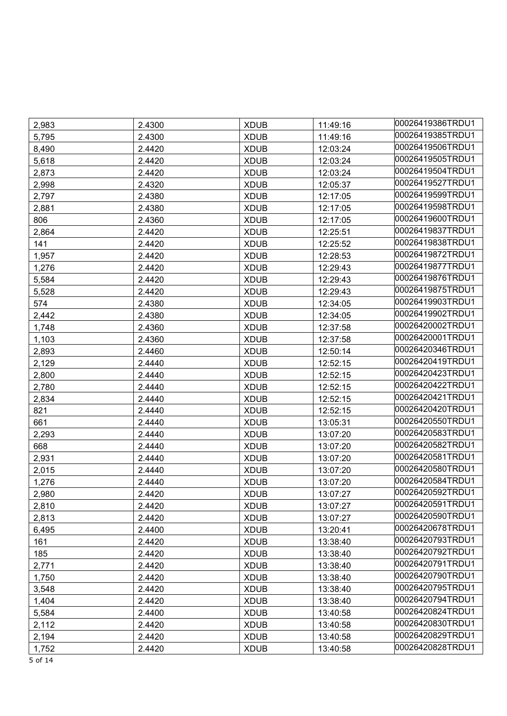| 2,983 | 2.4300 | <b>XDUB</b> | 11:49:16 | 00026419386TRDU1 |
|-------|--------|-------------|----------|------------------|
| 5,795 | 2.4300 | <b>XDUB</b> | 11:49:16 | 00026419385TRDU1 |
| 8,490 | 2.4420 | <b>XDUB</b> | 12:03:24 | 00026419506TRDU1 |
| 5,618 | 2.4420 | <b>XDUB</b> | 12:03:24 | 00026419505TRDU1 |
| 2,873 | 2.4420 | <b>XDUB</b> | 12:03:24 | 00026419504TRDU1 |
| 2,998 | 2.4320 | <b>XDUB</b> | 12:05:37 | 00026419527TRDU1 |
| 2,797 | 2.4380 | <b>XDUB</b> | 12:17:05 | 00026419599TRDU1 |
| 2,881 | 2.4380 | <b>XDUB</b> | 12:17:05 | 00026419598TRDU1 |
| 806   | 2.4360 | <b>XDUB</b> | 12:17:05 | 00026419600TRDU1 |
| 2,864 | 2.4420 | <b>XDUB</b> | 12:25:51 | 00026419837TRDU1 |
| 141   | 2.4420 | <b>XDUB</b> | 12:25:52 | 00026419838TRDU1 |
| 1,957 | 2.4420 | <b>XDUB</b> | 12:28:53 | 00026419872TRDU1 |
| 1,276 | 2.4420 | <b>XDUB</b> | 12:29:43 | 00026419877TRDU1 |
| 5,584 | 2.4420 | <b>XDUB</b> | 12:29:43 | 00026419876TRDU1 |
| 5,528 | 2.4420 | <b>XDUB</b> | 12:29:43 | 00026419875TRDU1 |
| 574   | 2.4380 | <b>XDUB</b> | 12:34:05 | 00026419903TRDU1 |
| 2,442 | 2.4380 | <b>XDUB</b> | 12:34:05 | 00026419902TRDU1 |
| 1,748 | 2.4360 | <b>XDUB</b> | 12:37:58 | 00026420002TRDU1 |
| 1,103 | 2.4360 | <b>XDUB</b> | 12:37:58 | 00026420001TRDU1 |
| 2,893 | 2.4460 | <b>XDUB</b> | 12:50:14 | 00026420346TRDU1 |
| 2,129 | 2.4440 | <b>XDUB</b> | 12:52:15 | 00026420419TRDU1 |
| 2,800 | 2.4440 | <b>XDUB</b> | 12:52:15 | 00026420423TRDU1 |
| 2,780 | 2.4440 | <b>XDUB</b> | 12:52:15 | 00026420422TRDU1 |
| 2,834 | 2.4440 | <b>XDUB</b> | 12:52:15 | 00026420421TRDU1 |
| 821   | 2.4440 | <b>XDUB</b> | 12:52:15 | 00026420420TRDU1 |
| 661   | 2.4440 | <b>XDUB</b> | 13:05:31 | 00026420550TRDU1 |
| 2,293 | 2.4440 | <b>XDUB</b> | 13:07:20 | 00026420583TRDU1 |
| 668   | 2.4440 | <b>XDUB</b> | 13:07:20 | 00026420582TRDU1 |
| 2,931 | 2.4440 | <b>XDUB</b> | 13:07:20 | 00026420581TRDU1 |
| 2,015 | 2.4440 | <b>XDUB</b> | 13:07:20 | 00026420580TRDU1 |
| 1,276 | 2.4440 | <b>XDUB</b> | 13:07:20 | 00026420584TRDU1 |
| 2,980 | 2.4420 | <b>XDUB</b> | 13:07:27 | 00026420592TRDU1 |
| 2,810 | 2.4420 | <b>XDUB</b> | 13:07:27 | 00026420591TRDU1 |
| 2,813 | 2.4420 | <b>XDUB</b> | 13:07:27 | 00026420590TRDU1 |
| 6,495 | 2.4400 | <b>XDUB</b> | 13:20:41 | 00026420678TRDU1 |
| 161   | 2.4420 | <b>XDUB</b> | 13:38:40 | 00026420793TRDU1 |
| 185   | 2.4420 | <b>XDUB</b> | 13:38:40 | 00026420792TRDU1 |
| 2,771 | 2.4420 | <b>XDUB</b> | 13:38:40 | 00026420791TRDU1 |
| 1,750 | 2.4420 | <b>XDUB</b> | 13:38:40 | 00026420790TRDU1 |
| 3,548 | 2.4420 | <b>XDUB</b> | 13:38:40 | 00026420795TRDU1 |
| 1,404 | 2.4420 | <b>XDUB</b> | 13:38:40 | 00026420794TRDU1 |
| 5,584 | 2.4400 | <b>XDUB</b> | 13:40:58 | 00026420824TRDU1 |
| 2,112 | 2.4420 | <b>XDUB</b> | 13:40:58 | 00026420830TRDU1 |
| 2,194 | 2.4420 | <b>XDUB</b> | 13:40:58 | 00026420829TRDU1 |
| 1,752 | 2.4420 | <b>XDUB</b> | 13:40:58 | 00026420828TRDU1 |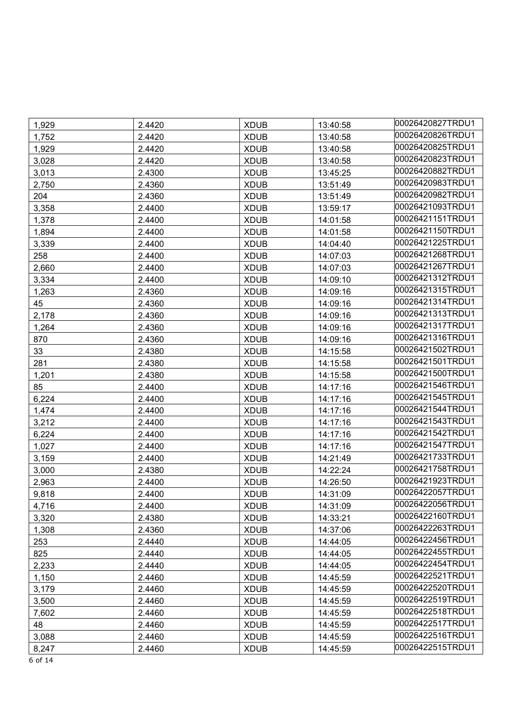| 1,929 | 2.4420 | <b>XDUB</b> | 13:40:58 | 00026420827TRDU1 |
|-------|--------|-------------|----------|------------------|
| 1,752 | 2.4420 | <b>XDUB</b> | 13:40:58 | 00026420826TRDU1 |
| 1,929 | 2.4420 | <b>XDUB</b> | 13:40:58 | 00026420825TRDU1 |
| 3,028 | 2.4420 | <b>XDUB</b> | 13:40:58 | 00026420823TRDU1 |
| 3,013 | 2.4300 | <b>XDUB</b> | 13:45:25 | 00026420882TRDU1 |
| 2,750 | 2.4360 | <b>XDUB</b> | 13:51:49 | 00026420983TRDU1 |
| 204   | 2.4360 | <b>XDUB</b> | 13:51:49 | 00026420982TRDU1 |
| 3,358 | 2.4400 | <b>XDUB</b> | 13:59:17 | 00026421093TRDU1 |
| 1,378 | 2.4400 | <b>XDUB</b> | 14:01:58 | 00026421151TRDU1 |
| 1,894 | 2.4400 | <b>XDUB</b> | 14:01:58 | 00026421150TRDU1 |
| 3,339 | 2.4400 | <b>XDUB</b> | 14:04:40 | 00026421225TRDU1 |
| 258   | 2.4400 | <b>XDUB</b> | 14:07:03 | 00026421268TRDU1 |
| 2,660 | 2.4400 | <b>XDUB</b> | 14:07:03 | 00026421267TRDU1 |
| 3,334 | 2.4400 | <b>XDUB</b> | 14:09:10 | 00026421312TRDU1 |
| 1,263 | 2.4360 | <b>XDUB</b> | 14:09:16 | 00026421315TRDU1 |
| 45    | 2.4360 | <b>XDUB</b> | 14:09:16 | 00026421314TRDU1 |
| 2,178 | 2.4360 | <b>XDUB</b> | 14:09:16 | 00026421313TRDU1 |
| 1,264 | 2.4360 | <b>XDUB</b> | 14:09:16 | 00026421317TRDU1 |
| 870   | 2.4360 | <b>XDUB</b> | 14:09:16 | 00026421316TRDU1 |
| 33    | 2.4380 | <b>XDUB</b> | 14:15:58 | 00026421502TRDU1 |
| 281   | 2.4380 | <b>XDUB</b> | 14:15:58 | 00026421501TRDU1 |
| 1,201 | 2.4380 | <b>XDUB</b> | 14:15:58 | 00026421500TRDU1 |
| 85    | 2.4400 | <b>XDUB</b> | 14:17:16 | 00026421546TRDU1 |
| 6,224 | 2.4400 | <b>XDUB</b> | 14:17:16 | 00026421545TRDU1 |
| 1,474 | 2.4400 | <b>XDUB</b> | 14:17:16 | 00026421544TRDU1 |
| 3,212 | 2.4400 | <b>XDUB</b> | 14:17:16 | 00026421543TRDU1 |
| 6,224 | 2.4400 | <b>XDUB</b> | 14:17:16 | 00026421542TRDU1 |
| 1,027 | 2.4400 | <b>XDUB</b> | 14:17:16 | 00026421547TRDU1 |
| 3,159 | 2.4400 | <b>XDUB</b> | 14:21:49 | 00026421733TRDU1 |
| 3,000 | 2.4380 | <b>XDUB</b> | 14:22:24 | 00026421758TRDU1 |
| 2,963 | 2.4400 | <b>XDUB</b> | 14:26:50 | 00026421923TRDU1 |
| 9,818 | 2.4400 | <b>XDUB</b> | 14:31:09 | 00026422057TRDU1 |
| 4,716 | 2.4400 | <b>XDUB</b> | 14:31:09 | 00026422056TRDU1 |
| 3,320 | 2.4380 | <b>XDUB</b> | 14:33:21 | 00026422160TRDU1 |
| 1,308 | 2.4360 | <b>XDUB</b> | 14:37:06 | 00026422263TRDU1 |
| 253   | 2.4440 | <b>XDUB</b> | 14:44:05 | 00026422456TRDU1 |
| 825   | 2.4440 | <b>XDUB</b> | 14:44:05 | 00026422455TRDU1 |
| 2,233 | 2.4440 | <b>XDUB</b> | 14:44:05 | 00026422454TRDU1 |
| 1,150 | 2.4460 | <b>XDUB</b> | 14:45:59 | 00026422521TRDU1 |
| 3,179 | 2.4460 | <b>XDUB</b> | 14:45:59 | 00026422520TRDU1 |
| 3,500 | 2.4460 | <b>XDUB</b> | 14:45:59 | 00026422519TRDU1 |
| 7,602 | 2.4460 | <b>XDUB</b> | 14:45:59 | 00026422518TRDU1 |
| 48    | 2.4460 | <b>XDUB</b> | 14:45:59 | 00026422517TRDU1 |
| 3,088 | 2.4460 | <b>XDUB</b> | 14:45:59 | 00026422516TRDU1 |
| 8,247 | 2.4460 | <b>XDUB</b> | 14:45:59 | 00026422515TRDU1 |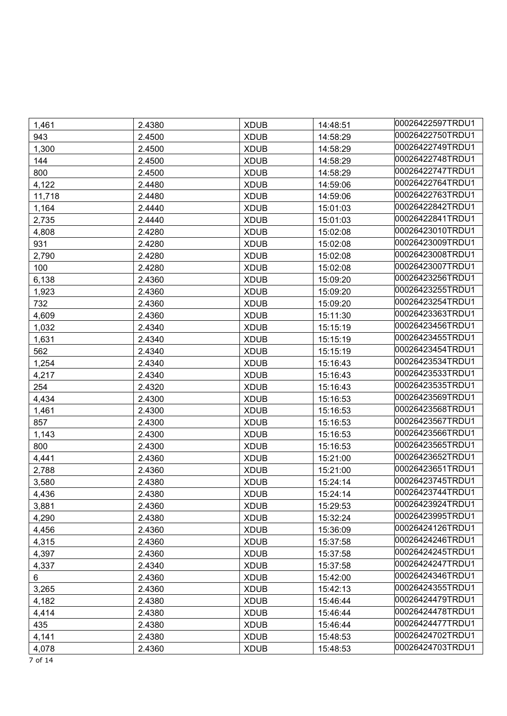| 1,461  | 2.4380 | <b>XDUB</b> | 14:48:51 | 00026422597TRDU1 |
|--------|--------|-------------|----------|------------------|
| 943    | 2.4500 | <b>XDUB</b> | 14:58:29 | 00026422750TRDU1 |
| 1,300  | 2.4500 | <b>XDUB</b> | 14:58:29 | 00026422749TRDU1 |
| 144    | 2.4500 | <b>XDUB</b> | 14:58:29 | 00026422748TRDU1 |
| 800    | 2.4500 | <b>XDUB</b> | 14:58:29 | 00026422747TRDU1 |
| 4,122  | 2.4480 | <b>XDUB</b> | 14:59:06 | 00026422764TRDU1 |
| 11,718 | 2.4480 | <b>XDUB</b> | 14:59:06 | 00026422763TRDU1 |
| 1,164  | 2.4440 | <b>XDUB</b> | 15:01:03 | 00026422842TRDU1 |
| 2,735  | 2.4440 | <b>XDUB</b> | 15:01:03 | 00026422841TRDU1 |
| 4,808  | 2.4280 | <b>XDUB</b> | 15:02:08 | 00026423010TRDU1 |
| 931    | 2.4280 | <b>XDUB</b> | 15:02:08 | 00026423009TRDU1 |
| 2,790  | 2.4280 | <b>XDUB</b> | 15:02:08 | 00026423008TRDU1 |
| 100    | 2.4280 | <b>XDUB</b> | 15:02:08 | 00026423007TRDU1 |
| 6,138  | 2.4360 | <b>XDUB</b> | 15:09:20 | 00026423256TRDU1 |
| 1,923  | 2.4360 | <b>XDUB</b> | 15:09:20 | 00026423255TRDU1 |
| 732    | 2.4360 | <b>XDUB</b> | 15:09:20 | 00026423254TRDU1 |
| 4,609  | 2.4360 | <b>XDUB</b> | 15:11:30 | 00026423363TRDU1 |
| 1,032  | 2.4340 | <b>XDUB</b> | 15:15:19 | 00026423456TRDU1 |
| 1,631  | 2.4340 | <b>XDUB</b> | 15:15:19 | 00026423455TRDU1 |
| 562    | 2.4340 | <b>XDUB</b> | 15:15:19 | 00026423454TRDU1 |
| 1,254  | 2.4340 | <b>XDUB</b> | 15:16:43 | 00026423534TRDU1 |
| 4,217  | 2.4340 | <b>XDUB</b> | 15:16:43 | 00026423533TRDU1 |
| 254    | 2.4320 | <b>XDUB</b> | 15:16:43 | 00026423535TRDU1 |
| 4,434  | 2.4300 | <b>XDUB</b> | 15:16:53 | 00026423569TRDU1 |
| 1,461  | 2.4300 | <b>XDUB</b> | 15:16:53 | 00026423568TRDU1 |
| 857    | 2.4300 | <b>XDUB</b> | 15:16:53 | 00026423567TRDU1 |
| 1,143  | 2.4300 | <b>XDUB</b> | 15:16:53 | 00026423566TRDU1 |
| 800    | 2.4300 | <b>XDUB</b> | 15:16:53 | 00026423565TRDU1 |
| 4,441  | 2.4360 | <b>XDUB</b> | 15:21:00 | 00026423652TRDU1 |
| 2,788  | 2.4360 | <b>XDUB</b> | 15:21:00 | 00026423651TRDU1 |
| 3,580  | 2.4380 | <b>XDUB</b> | 15:24:14 | 00026423745TRDU1 |
| 4,436  | 2.4380 | <b>XDUB</b> | 15:24:14 | 00026423744TRDU1 |
| 3,881  | 2.4360 | <b>XDUB</b> | 15:29:53 | 00026423924TRDU1 |
| 4,290  | 2.4380 | <b>XDUB</b> | 15:32:24 | 00026423995TRDU1 |
| 4,456  | 2.4360 | <b>XDUB</b> | 15:36:09 | 00026424126TRDU1 |
| 4,315  | 2.4360 | <b>XDUB</b> | 15:37:58 | 00026424246TRDU1 |
| 4,397  | 2.4360 | <b>XDUB</b> | 15:37:58 | 00026424245TRDU1 |
| 4,337  | 2.4340 | <b>XDUB</b> | 15:37:58 | 00026424247TRDU1 |
| 6      | 2.4360 | <b>XDUB</b> | 15:42:00 | 00026424346TRDU1 |
| 3,265  | 2.4360 | <b>XDUB</b> | 15:42:13 | 00026424355TRDU1 |
| 4,182  | 2.4380 | <b>XDUB</b> | 15:46:44 | 00026424479TRDU1 |
| 4,414  | 2.4380 | <b>XDUB</b> | 15:46:44 | 00026424478TRDU1 |
| 435    | 2.4380 | <b>XDUB</b> | 15:46:44 | 00026424477TRDU1 |
| 4,141  | 2.4380 | <b>XDUB</b> | 15:48:53 | 00026424702TRDU1 |
| 4,078  | 2.4360 | <b>XDUB</b> | 15:48:53 | 00026424703TRDU1 |